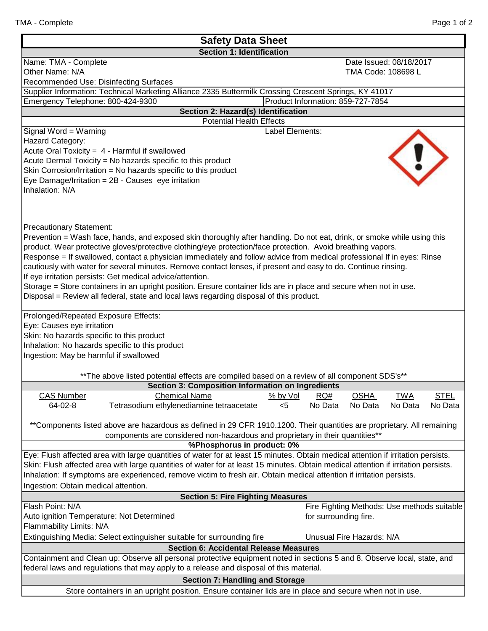| <b>Safety Data Sheet</b>                                                                                                           |                                                             |  |  |  |  |
|------------------------------------------------------------------------------------------------------------------------------------|-------------------------------------------------------------|--|--|--|--|
| <b>Section 1: Identification</b>                                                                                                   |                                                             |  |  |  |  |
| Name: TMA - Complete                                                                                                               | Date Issued: 08/18/2017                                     |  |  |  |  |
| Other Name: N/A                                                                                                                    | TMA Code: 108698 L                                          |  |  |  |  |
| Recommended Use: Disinfecting Surfaces                                                                                             |                                                             |  |  |  |  |
| Supplier Information: Technical Marketing Alliance 2335 Buttermilk Crossing Crescent Springs, KY 41017                             |                                                             |  |  |  |  |
| Emergency Telephone: 800-424-9300                                                                                                  | Product Information: 859-727-7854                           |  |  |  |  |
| Section 2: Hazard(s) Identification                                                                                                |                                                             |  |  |  |  |
| <b>Potential Health Effects</b><br>Signal Word = Warning<br>Label Elements:                                                        |                                                             |  |  |  |  |
| Hazard Category:                                                                                                                   |                                                             |  |  |  |  |
| Acute Oral Toxicity = 4 - Harmful if swallowed                                                                                     |                                                             |  |  |  |  |
| Acute Dermal Toxicity = No hazards specific to this product                                                                        |                                                             |  |  |  |  |
| Skin Corrosion/Irritation = No hazards specific to this product                                                                    |                                                             |  |  |  |  |
| Eye Damage/Irritation = $2B -$ Causes eye irritation                                                                               |                                                             |  |  |  |  |
| Inhalation: N/A                                                                                                                    |                                                             |  |  |  |  |
|                                                                                                                                    |                                                             |  |  |  |  |
|                                                                                                                                    |                                                             |  |  |  |  |
|                                                                                                                                    |                                                             |  |  |  |  |
| <b>Precautionary Statement:</b>                                                                                                    |                                                             |  |  |  |  |
| Prevention = Wash face, hands, and exposed skin thoroughly after handling. Do not eat, drink, or smoke while using this            |                                                             |  |  |  |  |
| product. Wear protective gloves/protective clothing/eye protection/face protection. Avoid breathing vapors.                        |                                                             |  |  |  |  |
| Response = If swallowed, contact a physician immediately and follow advice from medical professional If in eyes: Rinse             |                                                             |  |  |  |  |
| cautiously with water for several minutes. Remove contact lenses, if present and easy to do. Continue rinsing.                     |                                                             |  |  |  |  |
| If eye irritation persists: Get medical advice/attention.                                                                          |                                                             |  |  |  |  |
| Storage = Store containers in an upright position. Ensure container lids are in place and secure when not in use.                  |                                                             |  |  |  |  |
| Disposal = Review all federal, state and local laws regarding disposal of this product.                                            |                                                             |  |  |  |  |
|                                                                                                                                    |                                                             |  |  |  |  |
| Prolonged/Repeated Exposure Effects:                                                                                               |                                                             |  |  |  |  |
| Eye: Causes eye irritation                                                                                                         |                                                             |  |  |  |  |
| Skin: No hazards specific to this product                                                                                          |                                                             |  |  |  |  |
| Inhalation: No hazards specific to this product                                                                                    |                                                             |  |  |  |  |
| Ingestion: May be harmful if swallowed                                                                                             |                                                             |  |  |  |  |
|                                                                                                                                    |                                                             |  |  |  |  |
| ** The above listed potential effects are compiled based on a review of all component SDS's**                                      |                                                             |  |  |  |  |
| <b>Section 3: Composition Information on Ingredients</b>                                                                           |                                                             |  |  |  |  |
| <b>CAS Number</b><br><b>Chemical Name</b>                                                                                          | % by Vol<br>RO#<br><b>OSHA</b><br><b>TWA</b><br><b>STEL</b> |  |  |  |  |
| Tetrasodium ethylenediamine tetraacetate<br>64-02-8                                                                                | No Data<br>No Data<br>No Data<br>$<$ 5<br>No Data           |  |  |  |  |
|                                                                                                                                    |                                                             |  |  |  |  |
| **Components listed above are hazardous as defined in 29 CFR 1910.1200. Their quantities are proprietary. All remaining            |                                                             |  |  |  |  |
| components are considered non-hazardous and proprietary in their quantities**                                                      |                                                             |  |  |  |  |
| %Phosphorus in product: 0%                                                                                                         |                                                             |  |  |  |  |
| Eye: Flush affected area with large quantities of water for at least 15 minutes. Obtain medical attention if irritation persists.  |                                                             |  |  |  |  |
| Skin: Flush affected area with large quantities of water for at least 15 minutes. Obtain medical attention if irritation persists. |                                                             |  |  |  |  |
| Inhalation: If symptoms are experienced, remove victim to fresh air. Obtain medical attention if irritation persists.              |                                                             |  |  |  |  |
| Ingestion: Obtain medical attention.                                                                                               |                                                             |  |  |  |  |
| <b>Section 5: Fire Fighting Measures</b>                                                                                           |                                                             |  |  |  |  |
| Flash Point: N/A                                                                                                                   | Fire Fighting Methods: Use methods suitable                 |  |  |  |  |
| Auto ignition Temperature: Not Determined                                                                                          | for surrounding fire.                                       |  |  |  |  |
| Flammability Limits: N/A                                                                                                           |                                                             |  |  |  |  |
| Unusual Fire Hazards: N/A<br>Extinguishing Media: Select extinguisher suitable for surrounding fire                                |                                                             |  |  |  |  |
| <b>Section 6: Accidental Release Measures</b>                                                                                      |                                                             |  |  |  |  |
| Containment and Clean up: Observe all personal protective equipment noted in sections 5 and 8. Observe local, state, and           |                                                             |  |  |  |  |
| federal laws and regulations that may apply to a release and disposal of this material.                                            |                                                             |  |  |  |  |
| <b>Section 7: Handling and Storage</b>                                                                                             |                                                             |  |  |  |  |
| Store containers in an upright position. Ensure container lids are in place and secure when not in use.                            |                                                             |  |  |  |  |